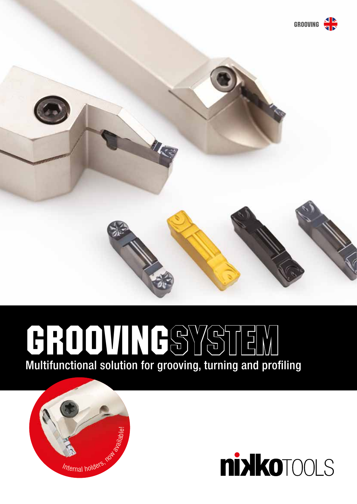

March 1999

# Multifunctional solution for grooving, turning and profiling GROOVINGSYSTEM



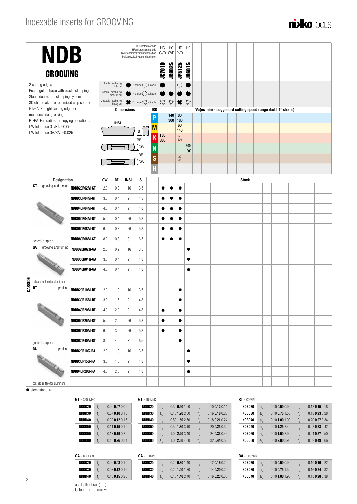## Indexable inserts for GROOVING



| <b>NDB</b>      |           |                                                                                                                                                                                                                                      |               |           |                                  | HC: coated carbide<br>HF: micrograin carbide<br>CVD: chemical vapour deposition<br>PVD: physical vapour deposition | НC<br><b>CVD</b>                 | HC<br><b>CVD</b>                   | HF<br>PVD                | HF<br>$\overline{\phantom{a}}$ |                          |  |  |                                                                          |              |  |  |  |  |  |
|-----------------|-----------|--------------------------------------------------------------------------------------------------------------------------------------------------------------------------------------------------------------------------------------|---------------|-----------|----------------------------------|--------------------------------------------------------------------------------------------------------------------|----------------------------------|------------------------------------|--------------------------|--------------------------------|--------------------------|--|--|--------------------------------------------------------------------------|--------------|--|--|--|--|--|
| <b>GROOVING</b> |           |                                                                                                                                                                                                                                      |               |           |                                  |                                                                                                                    | <b>JC7010</b>                    | <b>JC8025</b>                      | <b>JP5125</b>            | <b>JUGO15</b>                  |                          |  |  |                                                                          |              |  |  |  |  |  |
|                 |           | 2 cutting edges                                                                                                                                                                                                                      |               |           | Stable machining,<br>light cut   |                                                                                                                    | $1st$ choice $\bigcirc$ suitable |                                    |                          | C                              |                          |  |  |                                                                          |              |  |  |  |  |  |
|                 |           | · Rectangular shape with elastic clamping<br>Stable double-rail clamping system                                                                                                                                                      |               |           | General machining,<br>medium cut |                                                                                                                    | $1st choice ($ suitable          |                                    |                          |                                |                          |  |  |                                                                          |              |  |  |  |  |  |
|                 |           | 3D chipbreaker for optimized chip control                                                                                                                                                                                            |               |           | Unstable machining,<br>heavy cut |                                                                                                                    | 1st choice $\sum$ suitable       | $\overleftrightarrow{\mathcal{L}}$ | $\overleftrightarrow{c}$ | ₩                              | $\overleftrightarrow{c}$ |  |  |                                                                          |              |  |  |  |  |  |
|                 |           | GT/GA: Straight cutting edge for                                                                                                                                                                                                     |               |           |                                  | <b>Dimensions</b>                                                                                                  |                                  | ISO                                |                          |                                |                          |  |  | Vc(m/min) - suggested cutting speed range (bold: 1 <sup>st</sup> choice) |              |  |  |  |  |  |
|                 |           | multifuncional grooving<br>RT/RA: Full radius for copying operations                                                                                                                                                                 |               |           |                                  |                                                                                                                    |                                  | P                                  | 140<br>300               | 80<br>180                      |                          |  |  |                                                                          |              |  |  |  |  |  |
|                 |           | CW tolerance GT/RT: $\pm 0.05$                                                                                                                                                                                                       |               |           | <b>INSL</b>                      |                                                                                                                    |                                  | $\blacksquare$                     |                          | 60<br>140                      |                          |  |  |                                                                          |              |  |  |  |  |  |
|                 |           | CW tolerance GA/RA: ±0.025                                                                                                                                                                                                           |               |           |                                  |                                                                                                                    | $\overline{s}$                   | 180<br>K                           |                          | 50                             |                          |  |  |                                                                          |              |  |  |  |  |  |
|                 |           |                                                                                                                                                                                                                                      |               |           |                                  |                                                                                                                    | RE<br><b>CW</b>                  | 380                                |                          | 120                            | 300                      |  |  |                                                                          |              |  |  |  |  |  |
|                 |           |                                                                                                                                                                                                                                      |               |           |                                  |                                                                                                                    | <b>RE</b>                        | N                                  |                          |                                | 1000                     |  |  |                                                                          |              |  |  |  |  |  |
|                 |           |                                                                                                                                                                                                                                      |               |           |                                  |                                                                                                                    | `CW                              | S                                  |                          | 20<br>40                       |                          |  |  |                                                                          |              |  |  |  |  |  |
|                 |           |                                                                                                                                                                                                                                      |               |           |                                  |                                                                                                                    |                                  | H                                  |                          |                                |                          |  |  |                                                                          |              |  |  |  |  |  |
|                 |           | <b>Designation</b>                                                                                                                                                                                                                   |               | <b>CW</b> | RE                               | <b>INSL</b>                                                                                                        | S                                |                                    |                          |                                |                          |  |  |                                                                          | <b>Stock</b> |  |  |  |  |  |
|                 | GT        | grooving and turning                                                                                                                                                                                                                 | NDBD20R02M-GT | 2.0       | 0.2                              | 16                                                                                                                 | 3.5                              |                                    |                          |                                |                          |  |  |                                                                          |              |  |  |  |  |  |
|                 |           | NDBD30R04M-GT                                                                                                                                                                                                                        | 3.0           | 0.4       | 21                               | 4.8                                                                                                                |                                  |                                    | $\bullet$                |                                |                          |  |  |                                                                          |              |  |  |  |  |  |
|                 |           | NDBD40R04M-GT                                                                                                                                                                                                                        | 4.0           | 0.4       | 21                               | 4.8                                                                                                                |                                  |                                    |                          |                                |                          |  |  |                                                                          |              |  |  |  |  |  |
|                 |           |                                                                                                                                                                                                                                      | NDBD50R04M-GT | 5.0       | 0.4                              | 26                                                                                                                 | 5.8                              |                                    |                          | $\bullet$                      |                          |  |  |                                                                          |              |  |  |  |  |  |
|                 |           |                                                                                                                                                                                                                                      | NDBD60R08M-GT | 6.0       | 0.8                              | 26                                                                                                                 | 5.8                              |                                    | e                        | $\bullet$                      |                          |  |  |                                                                          |              |  |  |  |  |  |
|                 |           | general purpose                                                                                                                                                                                                                      | NDBD80R08M-GT | 8.0       | 0.8                              | 31                                                                                                                 | 6.5                              |                                    |                          | $\bullet$                      |                          |  |  |                                                                          |              |  |  |  |  |  |
|                 | GΑ        | grooving and turning                                                                                                                                                                                                                 | NDBD20R02G-GA | 2.0       | 0.2                              | 16                                                                                                                 | 3.5                              |                                    |                          |                                | ٠                        |  |  |                                                                          |              |  |  |  |  |  |
|                 |           |                                                                                                                                                                                                                                      | NDBD30R04G-GA | 3.0       | 0.4                              | 21                                                                                                                 | 4.8                              |                                    |                          |                                |                          |  |  |                                                                          |              |  |  |  |  |  |
|                 |           |                                                                                                                                                                                                                                      | NDBD40R04G-GA | 4.0       | 0.4                              | 21                                                                                                                 | 4.8                              |                                    |                          |                                | ٠                        |  |  |                                                                          |              |  |  |  |  |  |
|                 |           | polished surface for aluminium                                                                                                                                                                                                       |               |           |                                  |                                                                                                                    |                                  |                                    |                          |                                |                          |  |  |                                                                          |              |  |  |  |  |  |
| CARBIDE         | <b>RT</b> | profiling                                                                                                                                                                                                                            | NDBD20R10M-RT | 2.0       | 1.0                              | 16                                                                                                                 | 3.5                              |                                    |                          | $\bullet$                      |                          |  |  |                                                                          |              |  |  |  |  |  |
|                 |           |                                                                                                                                                                                                                                      | NDBD30R15M-RT | 3.0       | 1.5                              | 21                                                                                                                 | 4.8                              |                                    |                          |                                |                          |  |  |                                                                          |              |  |  |  |  |  |
|                 |           |                                                                                                                                                                                                                                      | NDBD40R20M-RT | 4.0       | $2.0\,$                          | 21                                                                                                                 | $4.8\,$                          |                                    |                          |                                |                          |  |  |                                                                          |              |  |  |  |  |  |
|                 |           |                                                                                                                                                                                                                                      | NDBD50R25M-RT | 5.0       | 2.5                              | 26                                                                                                                 | 5.8                              | $\bullet$                          |                          | $\bullet$                      |                          |  |  |                                                                          |              |  |  |  |  |  |
|                 |           |                                                                                                                                                                                                                                      | NDBD60R30M-RT | 6.0       | 3.0                              | 26                                                                                                                 | 5.8                              | $\bullet$                          |                          | $\bullet$                      |                          |  |  |                                                                          |              |  |  |  |  |  |
|                 |           | general purpose                                                                                                                                                                                                                      | NDBD80R40M-RT | 8.0       | 4.0                              | 31                                                                                                                 | 6.5                              |                                    |                          | $\bullet$                      |                          |  |  |                                                                          |              |  |  |  |  |  |
|                 | RA        | profiling                                                                                                                                                                                                                            | NDBD20R10G-RA | 2.0       | 1.0                              | 16                                                                                                                 | 3.5                              |                                    |                          |                                | $\bullet$                |  |  |                                                                          |              |  |  |  |  |  |
|                 |           | <b>Contract Contract Contract Contract Contract Contract Contract Contract Contract Contract Contract Contract Contract Contract Contract Contract Contract Contract Contract Contract Contract Contract Contract Contract Contr</b> | NDBD30R15G-RA | 3.0       | 1.5                              | 21                                                                                                                 | 4.8                              |                                    |                          |                                | $\bullet$                |  |  |                                                                          |              |  |  |  |  |  |
|                 |           |                                                                                                                                                                                                                                      | NDBD40R20G-RA | 4.0       | 2.0                              | 21                                                                                                                 | 4.8                              |                                    |                          |                                | ٠                        |  |  |                                                                          |              |  |  |  |  |  |
|                 |           | polished surface for aluminium                                                                                                                                                                                                       |               |           |                                  |                                                                                                                    |                                  |                                    |                          |                                |                          |  |  |                                                                          |              |  |  |  |  |  |

 $\bullet$  stock standard

2

| GT - GROOVING |    |                  |  |  |  |  |
|---------------|----|------------------|--|--|--|--|
| NDBD20        | f, | $0.05$ 0.07 0.09 |  |  |  |  |
| NDBD30        |    | $0.07$ 0.10 0.13 |  |  |  |  |
| NDBD40        | f  | $0.09$ 0.12 0.15 |  |  |  |  |
| NDBD50        |    | $0.11$ 0.15 0.19 |  |  |  |  |
| NDBD60        | f, | $0.13$ 0.19 0.25 |  |  |  |  |
| NDBD80        |    | $0.18$ 0.26 0.34 |  |  |  |  |

#### GT - TURNING

| NDBD <sub>20</sub> | $a_{\rm p}$ | $0.30$ 0.90 1.50   |   | $0.10$ 0.12 0.14 |
|--------------------|-------------|--------------------|---|------------------|
| NDBD30             | $a_{\rm p}$ | 0.40 1.20 2.00     |   | $0.16$ 0.18 0.20 |
| NDBD40             | $a_{\rm o}$ | $0.50$ 1.50 $2.50$ |   | $0.18$ 0.21 0.24 |
| NDBD50             | $a_{\rm o}$ | $0.50$ 1.80 3.10   |   | $0.20$ 0.25 0.30 |
| NDBD60             | $a_{\rm o}$ | 1.00 2.20 3.40     | f | $0.24$ 0.33 0.42 |
| NDBD80             | $a_{\rm p}$ | 1.00 2.80 4.60     |   | $0.32$ 0.44 0.56 |

### RT - COPYING

| NDBD20 | $a_{\rm p}$    | $0.10$ 0.50 $0.90$ |   | $0.12$ 0.15 0.18   |
|--------|----------------|--------------------|---|--------------------|
| NDBD30 | $a_{\rm p}$    | $0.10$ 0.75 1.50   | f | $0.18$ 0.23 0.28   |
| NDBD40 | $a_{\rm o}$    | $0.10$ 1.00 1.90   | f | $0.20$ 0.27 $0.34$ |
| NDBD50 | $a_{\rm p}$    | $0.10$ 1.25 2.40   |   | $0.22$ 0.33 0.42   |
| NDBD60 | a <sub>0</sub> | $0.10$ 1.50 2.90   | f | $0.24$ 0.37 0.50   |
| NDBD80 | $a_{\rm b}$    | $0.10$ 2.00 3.90   |   | $0.32$ 0.49 $0.66$ |

#### GA - GROOVING

| NDBD20 | $0.06$ 0.08 $0.10$ |
|--------|--------------------|
| NDBD30 | $0.08$ 0.12 0.16   |
| NDBD40 | $0.10$ 0.15 0.20   |
|        |                    |

a<sub>p</sub>: depth of cut (mm) f n : feed rate (mm/rev)

#### GA - TURNING

| NDBD20 | a           | $0.20$ 0.80 1.40 | $0.12$ 0.16 0.20 |
|--------|-------------|------------------|------------------|
| NDBD30 | $a_{\rm n}$ | $0.20$ 1.00 1.80 | $0.14$ 0.20 0.26 |
| NDBD40 | a,          | $0.40$ 1.40 2.40 | $0.16$ 0.23 0.30 |
|        |             |                  |                  |

RA - COPYING

| 6A - UPING |                    |                  |
|------------|--------------------|------------------|
| NDBD20     | $0.10$ 0.50 $0.90$ | $0.10$ 0.16 0.22 |
| NDBD30     | $0.10$ 0.75 1.50   | $0.16$ 0.24 0.32 |
| NDBD40     | $0.10$ 1.00 1.90   | $0.18$ 0.28 0.38 |
|            |                    |                  |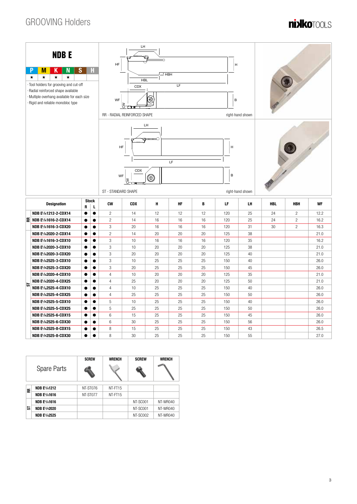## GROOVING Holders

# **nixikotools**



| Spare Parts |                     | <b>SCREW</b> | <b>WRENCH</b> | <b>SCREW</b> | <b>WRENCH</b> |
|-------------|---------------------|--------------|---------------|--------------|---------------|
| 뜐           | <b>NDB EL/R1212</b> | NT-ST076     | NT-FT15       |              |               |
|             | <b>NDB EL/R1616</b> | NT-ST077     | NT-FT15       |              |               |
|             | <b>NDB EL/R1616</b> |              |               | NT-SC001     | NT-WR040      |
| 능           | <b>NDB EL/R2020</b> |              |               | NT-SC001     | NT-WR040      |
|             | <b>NDB EL/R2525</b> |              |               | NT-SC002     | NT-WR040      |